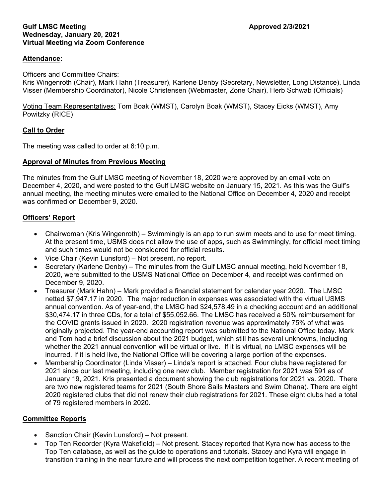### **Attendance:**

#### Officers and Committee Chairs:

Kris Wingenroth (Chair), Mark Hahn (Treasurer), Karlene Denby (Secretary, Newsletter, Long Distance), Linda Visser (Membership Coordinator), Nicole Christensen (Webmaster, Zone Chair), Herb Schwab (Officials)

Voting Team Representatives: Tom Boak (WMST), Carolyn Boak (WMST), Stacey Eicks (WMST), Amy Powitzky (RICE)

#### **Call to Order**

The meeting was called to order at 6:10 p.m.

#### **Approval of Minutes from Previous Meeting**

The minutes from the Gulf LMSC meeting of November 18, 2020 were approved by an email vote on December 4, 2020, and were posted to the Gulf LMSC website on January 15, 2021. As this was the Gulf's annual meeting, the meeting minutes were emailed to the National Office on December 4, 2020 and receipt was confirmed on December 9, 2020.

#### **Officers' Report**

- Chairwoman (Kris Wingenroth) Swimmingly is an app to run swim meets and to use for meet timing. At the present time, USMS does not allow the use of apps, such as Swimmingly, for official meet timing and such times would not be considered for official results.
- Vice Chair (Kevin Lunsford) Not present, no report.
- Secretary (Karlene Denby) The minutes from the Gulf LMSC annual meeting, held November 18, 2020, were submitted to the USMS National Office on December 4, and receipt was confirmed on December 9, 2020.
- Treasurer (Mark Hahn) Mark provided a financial statement for calendar year 2020. The LMSC netted \$7,947.17 in 2020. The major reduction in expenses was associated with the virtual USMS annual convention. As of year-end, the LMSC had \$24,578.49 in a checking account and an additional \$30,474.17 in three CDs, for a total of \$55,052.66. The LMSC has received a 50% reimbursement for the COVID grants issued in 2020. 2020 registration revenue was approximately 75% of what was originally projected. The year-end accounting report was submitted to the National Office today. Mark and Tom had a brief discussion about the 2021 budget, which still has several unknowns, including whether the 2021 annual convention will be virtual or live. If it is virtual, no LMSC expenses will be incurred. If it is held live, the National Office will be covering a large portion of the expenses.
- Membership Coordinator (Linda Visser) Linda's report is attached. Four clubs have registered for 2021 since our last meeting, including one new club. Member registration for 2021 was 591 as of January 19, 2021. Kris presented a document showing the club registrations for 2021 vs. 2020. There are two new registered teams for 2021 (South Shore Sails Masters and Swim Ohana). There are eight 2020 registered clubs that did not renew their club registrations for 2021. These eight clubs had a total of 79 registered members in 2020.

#### **Committee Reports**

- Sanction Chair (Kevin Lunsford) Not present.
- Top Ten Recorder (Kyra Wakefield) Not present. Stacey reported that Kyra now has access to the Top Ten database, as well as the guide to operations and tutorials. Stacey and Kyra will engage in transition training in the near future and will process the next competition together. A recent meeting of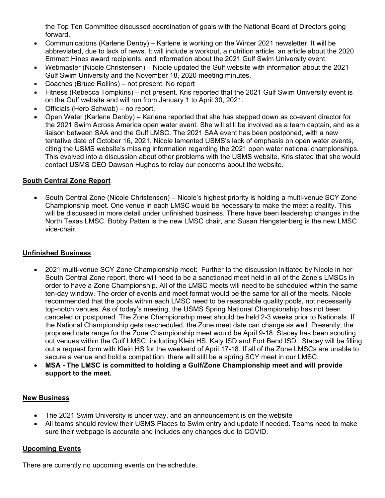the Top Ten Committee discussed coordination of goals with the National Board of Directors going forward.

- Communications (Karlene Denby) Karlene is working on the Winter 2021 newsletter. It will be abbreviated, due to lack of news. It will include a workout, a nutrition article, an article about the 2020 Emmett Hines award recipients, and information about the 2021 Gulf Swim University event.
- Webmaster (Nicole Christensen) Nicole updated the Gulf website with information about the 2021 Gulf Swim University and the November 18, 2020 meeting minutes.
- Coaches (Bruce Rollins) not present. No report
- Fitness (Rebecca Tompkins) not present. Kris reported that the 2021 Gulf Swim University event is on the Gulf website and will run from January 1 to April 30, 2021.
- Officials (Herb Schwab) no report.
- Open Water (Karlene Denby) Karlene reported that she has stepped down as co-event director for the 2021 Swim Across America open water event. She will still be involved as a team captain, and as a liaison between SAA and the Gulf LMSC. The 2021 SAA event has been postponed, with a new tentative date of October 16, 2021. Nicole lamented USMS's lack of emphasis on open water events, citing the USMS website's missing information regarding the 2021 open water national championships. This evolved into a discussion about other problems with the USMS website. Kris stated that she would contact USMS CEO Dawson Hughes to relay our concerns about the website.

### **South Central Zone Report**

 South Central Zone (Nicole Christensen) – Nicole's highest priority is holding a multi-venue SCY Zone Championship meet. One venue in each LMSC would be necessary to make the meet a reality. This will be discussed in more detail under unfinished business. There have been leadership changes in the North Texas LMSC. Bobby Patten is the new LMSC chair, and Susan Hengstenberg is the new LMSC vice-chair.

#### **Unfinished Business**

- 2021 multi-venue SCY Zone Championship meet: Further to the discussion initiated by Nicole in her South Central Zone report, there will need to be a sanctioned meet held in all of the Zone's LMSCs in order to have a Zone Championship. All of the LMSC meets will need to be scheduled within the same ten-day window. The order of events and meet format would be the same for all of the meets. Nicole recommended that the pools within each LMSC need to be reasonable quality pools, not necessarily top-notch venues. As of today's meeting, the USMS Spring National Championship has not been canceled or postponed. The Zone Championship meet should be held 2-3 weeks prior to Nationals. If the National Championship gets rescheduled, the Zone meet date can change as well. Presently, the proposed date range for the Zone Championship meet would be April 9-18. Stacey has been scouting out venues within the Gulf LMSC, including Klein HS, Katy ISD and Fort Bend ISD. Stacey will be filling out a request form with Klein HS for the weekend of April 17-18. If all of the Zone LMSCs are unable to secure a venue and hold a competition, there will still be a spring SCY meet in our LMSC.
- **MSA The LMSC is committed to holding a Gulf/Zone Championship meet and will provide support to the meet.**

# **New Business**

- The 2021 Swim University is under way, and an announcement is on the website
- All teams should review their USMS Places to Swim entry and update if needed. Teams need to make sure their webpage is accurate and includes any changes due to COVID.

# **Upcoming Events**

There are currently no upcoming events on the schedule.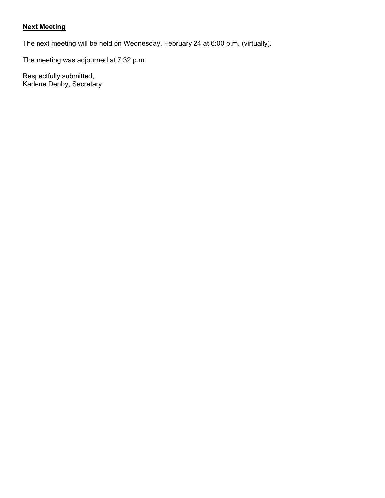# **Next Meeting**

The next meeting will be held on Wednesday, February 24 at 6:00 p.m. (virtually).

The meeting was adjourned at 7:32 p.m.

Respectfully submitted, Karlene Denby, Secretary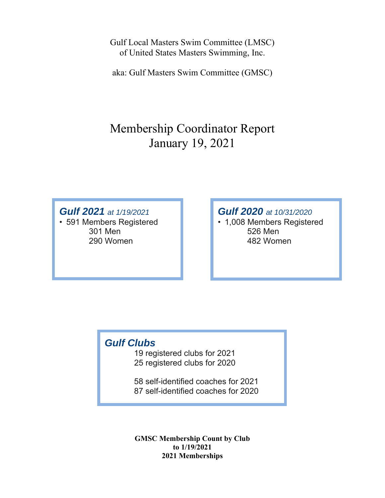Gulf Local Masters Swim Committee (LMSC) of United States Masters Swimming, Inc.

aka: Gulf Masters Swim Committee (GMSC)

# Membership Coordinator Report January 19, 2021

# *Gulf 2021 at 1/19/2021*

• 591 Members Registered 301 Men 290 Women

# *Gulf 2020 at 10/31/2020*

• 1,008 Members Registered 526 Men 482 Women

# *Gulf Clubs*

 19 registered clubs for 2021 25 registered clubs for 2020

 58 self-identified coaches for 2021 87 self-identified coaches for 2020

**GMSC Membership Count by Club to 1/19/2021 2021 Memberships**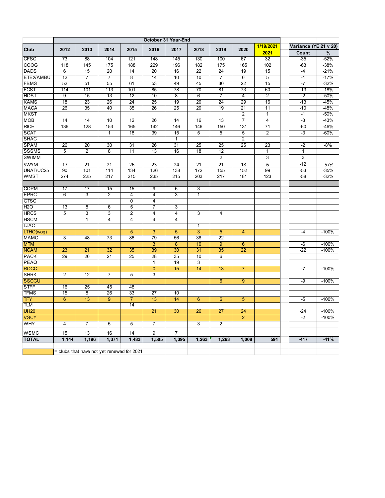|                  | October 31 Year-End                        |                 |                |                 |                 |                 |                |                  |                  |                   |  |                       |             |
|------------------|--------------------------------------------|-----------------|----------------|-----------------|-----------------|-----------------|----------------|------------------|------------------|-------------------|--|-----------------------|-------------|
| Club             | 2012                                       | 2013            | 2014           | 2015            | 2016            | 2017            | 2018           | 2019             | 2020             | 1/19/2021<br>2021 |  | Variance (YE 21 v 20) |             |
| <b>CFSC</b>      | 73                                         | $\overline{88}$ | 104            | 121             | 148             | 145             | 130            | 100              | 67               | 32                |  | Count<br>$-35$        | %<br>$-52%$ |
| COOG             | 118                                        | 145             | 175            | 188             | 229             | 196             | 182            | 175              | 165              | 102               |  | $-63$                 | $-38%$      |
| <b>DADS</b>      | 6                                          | 15              | 20             | $\overline{14}$ | 20              | 16              | 22             | 24               | 19               | 15                |  | $-4$                  | $-21%$      |
| <b>ETEX/AMBU</b> | 12                                         | 7               | 7              | 8               | 14              | 10              | 10             | 7                | 6                | 5                 |  | -1                    | $-17%$      |
| <b>FBMS</b>      | 52                                         | 51              | 55             | 61              | 53              | 49              | 45             | 30               | 22               | 15                |  | -7                    | $-32%$      |
| <b>FCST</b>      | 114                                        | 101             | 113            | 101             | 85              | 78              | 70             | 81               | 73               | 60                |  | $-13$                 | $-18%$      |
| <b>HOST</b>      | 9                                          | 15              | 13             | $\overline{12}$ | 10              | $\overline{8}$  | 6              | 7                | 4                | 2                 |  | -2                    | $-50%$      |
| <b>KAMS</b>      | 18                                         | 23              | 26             | 24              | 25              | 19              | 20             | 24               | 29               | $\overline{16}$   |  | $-13$                 | -45%        |
| <b>MACA</b>      | 26                                         | 35              | 40             | 35              | 26              | 25              | 20             | 19               | $\overline{21}$  | $\overline{11}$   |  | $-10$                 | $-48%$      |
| <b>MKST</b>      |                                            |                 |                |                 |                 |                 |                |                  | $\overline{2}$   | $\overline{1}$    |  | $-1$                  | $-50%$      |
| <b>MOB</b>       | 14                                         | 14              | 10             | 12              | 26              | 14              | 16             | 13               | 7                | $\overline{4}$    |  | -3                    | $-43%$      |
| <b>RICE</b>      | 136                                        | 128             | 153            | 165             | 142             | 146             | 146            | 150              | 131              | 71                |  | $-60$                 | -46%        |
| <b>SCAT</b>      |                                            |                 | $\mathbf{1}$   | 18              | 39              | 15              | 5              | 5                | $\overline{5}$   | $\overline{2}$    |  | $-3$                  | $-60%$      |
| <b>SHAC</b>      |                                            |                 |                |                 |                 | 1               |                |                  | $\overline{2}$   |                   |  |                       |             |
| <b>SPAM</b>      | 26                                         | 20              | 30             | 31              | 26              | $\overline{31}$ | 25             | 25               | 25               | 23                |  | $-2$                  | $-8%$       |
| <b>SSSMS</b>     | 5                                          | $\overline{2}$  | 8              | 11              | 13              | 16              | 18             | 12               |                  | 1                 |  | $\mathbf{1}$          |             |
| <b>SWIMM</b>     |                                            |                 |                |                 |                 |                 |                | $\overline{c}$   |                  | 3                 |  | 3                     |             |
| SWYM             | 17                                         | 21              | 21             | 26              | 23              | 24              | 21             | 21               | 18               | 6                 |  | $-12$                 | $-57%$      |
| UNAT/UC25        | 90                                         | 101             | 114            | 134             | 126             | 138             | 172            | 155              | 152              | 99                |  | $-53$                 | $-35%$      |
| <b>WMST</b>      | 274                                        | 225             | 217            | 215             | 235             | 215             | 203            | $\overline{217}$ | 181              | 123               |  | $-58$                 | $-32%$      |
|                  |                                            |                 |                |                 |                 |                 |                |                  |                  |                   |  |                       |             |
| <b>COPM</b>      | $\overline{17}$                            | 17              | 15             | 15              | 9               | 6               | 3              |                  |                  |                   |  |                       |             |
| <b>EPRC</b>      | 6                                          | 3               | $\overline{2}$ | 4               | 4               | 3               | 1              |                  |                  |                   |  |                       |             |
| <b>GTSC</b>      |                                            |                 |                | $\overline{0}$  | 4               |                 |                |                  |                  |                   |  |                       |             |
| <b>H2O</b>       | 13                                         | 8               | 6              | 5               | 7               | 3               |                |                  |                  |                   |  |                       |             |
| <b>HRCS</b>      | 5                                          | 3               | 3              | 2               | 4               | 4               | 3              | 4                |                  |                   |  |                       |             |
| <b>HSCM</b>      |                                            | $\mathbf{1}$    | 4              | 4               | $\overline{4}$  | $\overline{4}$  |                |                  |                  |                   |  |                       |             |
| <b>LJAC</b>      |                                            |                 |                |                 |                 |                 | 1              |                  |                  |                   |  |                       |             |
| LTHO(wog)        |                                            |                 |                | $\overline{5}$  | 3               | $\overline{5}$  | $\overline{3}$ | $\overline{5}$   | $\overline{4}$   |                   |  | $-4$                  | $-100%$     |
| <b>MAMC</b>      | 3                                          | 48              | 73             | 86              | 79              | 56              | 38             | 22               |                  |                   |  |                       |             |
| <b>MTM</b>       |                                            |                 |                |                 | $\overline{3}$  | $\bf 8$         | 10             | $\overline{9}$   | $\boldsymbol{6}$ |                   |  | -6                    | $-100%$     |
| <b>NCAM</b>      | 23                                         | $\overline{21}$ | 32             | 35              | 39              | 30              | 31             | 35               | $\overline{22}$  |                   |  | $-22$                 | $-100%$     |
| <b>PACK</b>      | 29                                         | 26              | 21             | $\overline{25}$ | $\overline{28}$ | $\overline{35}$ | 10             | 6                |                  |                   |  |                       |             |
| <b>PEAQ</b>      |                                            |                 |                |                 | $\mathbf{1}$    | 19              | 3              |                  |                  |                   |  |                       |             |
| <b>ROCC</b>      |                                            |                 |                |                 | $\overline{0}$  | 15              | 14             | 13               | $\overline{7}$   |                   |  | $-7$                  | $-100%$     |
| <b>SHRK</b>      | $\overline{2}$                             | 12              | $\overline{7}$ | 5               | 3               |                 |                |                  |                  |                   |  |                       |             |
| <b>SSCGU</b>     |                                            |                 |                |                 |                 |                 |                | $\overline{6}$   | $\overline{9}$   |                   |  | -9                    | $-100%$     |
| <b>STFF</b>      | 16                                         | $\overline{25}$ | 45             | 48              |                 |                 |                |                  |                  |                   |  |                       |             |
| <b>TFMS</b>      | 15                                         | $\overline{8}$  | 26             | $\overline{33}$ | 27              | 10              |                |                  |                  |                   |  |                       |             |
| <b>TFY</b>       | $\overline{6}$                             | 13              | $\overline{9}$ | $\overline{7}$  | 13              | 14              | $\overline{6}$ | $6\overline{6}$  | $\overline{5}$   |                   |  | $-5$                  | $-100%$     |
| <b>TLM</b>       |                                            |                 |                | 14              |                 |                 |                |                  |                  |                   |  |                       |             |
| <b>UH20</b>      |                                            |                 |                |                 | $\overline{21}$ | 30              | 26             | $\overline{27}$  | 24               |                   |  | $-24$                 | $-100%$     |
| <b>VSCY</b>      |                                            |                 |                |                 |                 |                 |                |                  | $\overline{2}$   |                   |  | $-2$                  | $-100%$     |
| <b>WHY</b>       | 4                                          | $\overline{7}$  | 5              | 5               | 7               |                 | 3              | $\overline{2}$   |                  |                   |  |                       |             |
| <b>WSMC</b>      | 15                                         | 13              | 16             | 14              | 9               | $\overline{7}$  |                |                  |                  |                   |  |                       |             |
| <b>TOTAL</b>     | 1.144                                      | 1,196           | 1.371          | 1,483           | 1,505           | 1,395           | 1,263          | 1,263            | 1,008            | 591               |  | $-417$                | $-41%$      |
|                  |                                            |                 |                |                 |                 |                 |                |                  |                  |                   |  |                       |             |
|                  | = clubs that have not yet renewed for 2021 |                 |                |                 |                 |                 |                |                  |                  |                   |  |                       |             |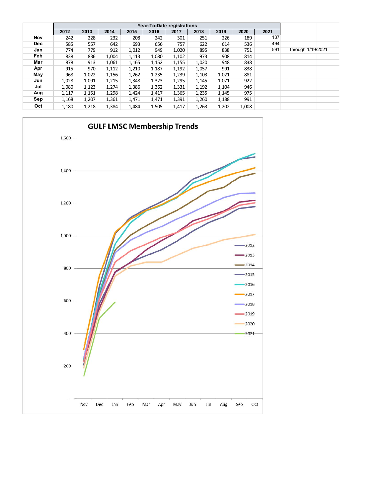|            | Year-To-Date registrations |       |       |       |       |       |       |       |       |      |                   |  |
|------------|----------------------------|-------|-------|-------|-------|-------|-------|-------|-------|------|-------------------|--|
|            | 2012                       | 2013  | 2014  | 2015  | 2016  | 2017  | 2018  | 2019  | 2020  | 2021 |                   |  |
| Nov        | 242                        | 228   | 232   | 208   | 242   | 301   | 251   | 226   | 189   | 137  |                   |  |
| <b>Dec</b> | 585                        | 557   | 642   | 693   | 656   | 757   | 622   | 614   | 536   | 494  |                   |  |
| Jan        | 774                        | 779   | 912   | 1,012 | 949   | 1,020 | 895   | 838   | 751   | 591  | through 1/19/2021 |  |
| Feb        | 838                        | 836   | 1,004 | 1,113 | 1,080 | 1,102 | 973   | 908   | 814   |      |                   |  |
| Mar        | 878                        | 913   | 1,061 | 1,165 | 1,152 | 1,155 | 1,020 | 948   | 838   |      |                   |  |
| Apr        | 915                        | 970   | 1,112 | 1,210 | 1,187 | 1,192 | 1,057 | 991   | 838   |      |                   |  |
| May        | 968                        | 1,022 | 1,156 | 1,262 | 1,235 | 1,239 | 1,103 | 1,021 | 881   |      |                   |  |
| Jun        | 1,028                      | 1,091 | 1,215 | 1,348 | 1,323 | 1,295 | 1,145 | 1,071 | 922   |      |                   |  |
| Jul        | 1,080                      | 1,123 | 1,274 | 1,386 | 1,362 | 1,331 | 1,192 | 1,104 | 946   |      |                   |  |
| Aug        | 1,117                      | 1,151 | 1,298 | 1,424 | 1,417 | 1,365 | 1,235 | 1,145 | 975   |      |                   |  |
| Sep        | 1,168                      | 1,207 | 1,361 | 1,471 | 1,471 | 1,391 | 1,260 | 1,188 | 991   |      |                   |  |
| Oct        | 1,180                      | 1,218 | 1,384 | 1,484 | 1,505 | 1,417 | 1,263 | 1,202 | 1,008 |      |                   |  |